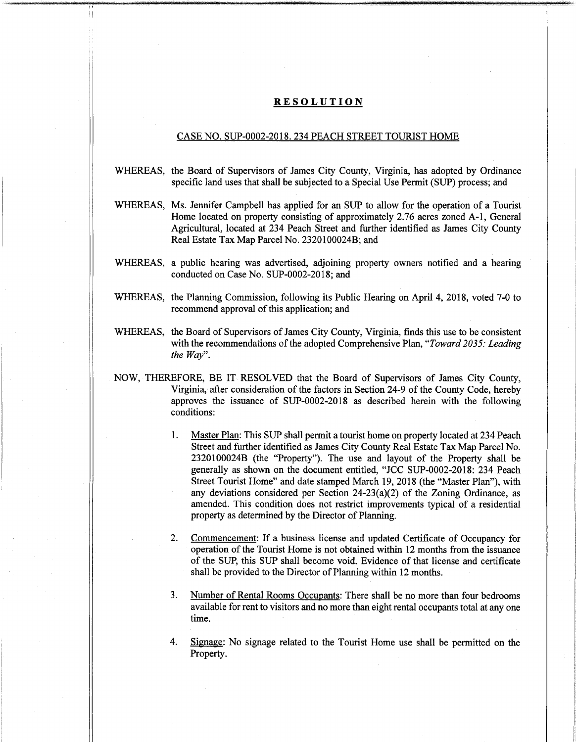## **RESOLUTION**

## CASE NO. SUP-0002-2018. 234 PEACH STREET TOURIST HOME

- WHEREAS, the Board of Supervisors of James City County, Virginia, has adopted by Ordinance specific land uses that shall be subjected to a Special Use Permit (SUP) process; and
- WHEREAS, Ms. Jennifer Campbell has applied for an SUP to allow for the operation of a Tourist Home located on property consisting of approximately 2.76 acres zoned A-l, General Agricultural, located at 234 Peach Street and further identified as James City County Real Estate Tax Map Parcel No. 2320100024B; and
- WHEREAS, a public hearing was advertised, adjoining property owners notified and a hearing conducted on Case No. SUP-0002-2018; and
- WHEREAS, the Planning Commission, following its Public Hearing on April 4, 2018, voted 7-0 to recommend approval of this application; and
- WHEREAS, the Board of Supervisors of James City County, Virginia, finds this use to be consistent with the recommendations of the adopted Comprehensive Plan, "*Toward 2035: Leading the Way".*
- NOW, THEREFORE, BE IT RESOLVED that the Board of Supervisors of James City County, Virginia, after consideration of the factors in Section 24-9 of the County Code, hereby approves the issuance of SUP-0002-2018 as described herein with the following conditions:
	- Master Plan: This SUP shall permit a tourist home on property located at 234 Peach Street and further identified as James City County Real Estate Tax Map Parcel No. 2320100024B (the "Property"). The use and layout of the Property shall be generally as shown on the document entitled, "JCC SUP-0002-2018: 234 Peach Street Tourist Home" and date stamped March 19, 2018 (the "Master Plan"), with any deviations considered per Section 24-23(a)(2) of the Zoning Ordinance, as amended. This condition does not restrict improvements typical of a residential property as determined by the Director of Planning. 1.
	- **2.** Commencement: If a business license and updated Certificate of Occupancy for operation ofthe Tourist Home is not obtained within 12 months from the issuance of the SUP, this SUP shall become void. Evidence of that license and certificate shall be provided to the Director of Planning within 12 months.
	- Number of Rental Rooms Occupants: There shall be no more than four bedrooms available for rent to visitors and no more than eight rental occupants total at any one time. **3.**
	- 4. Signage: No signage related to the Tourist Home use shall be permitted on the Property.